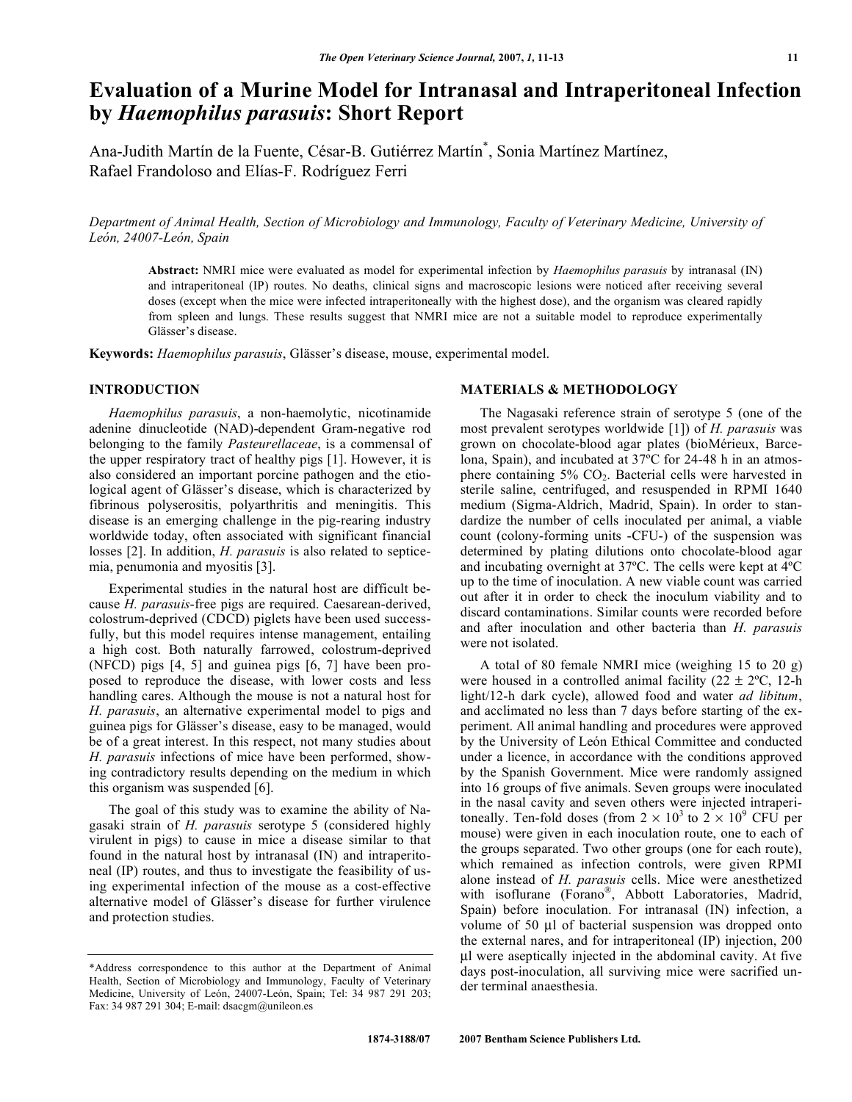# **Evaluation of a Murine Model for Intranasal and Intraperitoneal Infection by** *Haemophilus parasuis***: Short Report**

Ana-Judith Martín de la Fuente, César-B. Gutiérrez Martín\* , Sonia Martínez Martínez, Rafael Frandoloso and Elías-F. Rodríguez Ferri

*Department of Animal Health, Section of Microbiology and Immunology, Faculty of Veterinary Medicine, University of León, 24007-León, Spain* 

**Abstract:** NMRI mice were evaluated as model for experimental infection by *Haemophilus parasuis* by intranasal (IN) and intraperitoneal (IP) routes. No deaths, clinical signs and macroscopic lesions were noticed after receiving several doses (except when the mice were infected intraperitoneally with the highest dose), and the organism was cleared rapidly from spleen and lungs. These results suggest that NMRI mice are not a suitable model to reproduce experimentally Glässer's disease.

**Keywords:** *Haemophilus parasuis*, Glässer's disease, mouse, experimental model.

# **INTRODUCTION**

 *Haemophilus parasuis*, a non-haemolytic, nicotinamide adenine dinucleotide (NAD)-dependent Gram-negative rod belonging to the family *Pasteurellaceae*, is a commensal of the upper respiratory tract of healthy pigs [1]. However, it is also considered an important porcine pathogen and the etiological agent of Glässer's disease, which is characterized by fibrinous polyserositis, polyarthritis and meningitis. This disease is an emerging challenge in the pig-rearing industry worldwide today, often associated with significant financial losses [2]. In addition, *H. parasuis* is also related to septicemia, penumonia and myositis [3].

 Experimental studies in the natural host are difficult because *H. parasuis*-free pigs are required. Caesarean-derived, colostrum-deprived (CDCD) piglets have been used successfully, but this model requires intense management, entailing a high cost. Both naturally farrowed, colostrum-deprived (NFCD) pigs [4, 5] and guinea pigs [6, 7] have been proposed to reproduce the disease, with lower costs and less handling cares. Although the mouse is not a natural host for *H. parasuis*, an alternative experimental model to pigs and guinea pigs for Glässer's disease, easy to be managed, would be of a great interest. In this respect, not many studies about *H. parasuis* infections of mice have been performed, showing contradictory results depending on the medium in which this organism was suspended [6].

 The goal of this study was to examine the ability of Nagasaki strain of *H. parasuis* serotype 5 (considered highly virulent in pigs) to cause in mice a disease similar to that found in the natural host by intranasal (IN) and intraperitoneal (IP) routes, and thus to investigate the feasibility of using experimental infection of the mouse as a cost-effective alternative model of Glässer's disease for further virulence and protection studies.

# **MATERIALS & METHODOLOGY**

 The Nagasaki reference strain of serotype 5 (one of the most prevalent serotypes worldwide [1]) of *H. parasuis* was grown on chocolate-blood agar plates (bioMérieux, Barcelona, Spain), and incubated at 37ºC for 24-48 h in an atmosphere containing 5% CO<sub>2</sub>. Bacterial cells were harvested in sterile saline, centrifuged, and resuspended in RPMI 1640 medium (Sigma-Aldrich, Madrid, Spain). In order to standardize the number of cells inoculated per animal, a viable count (colony-forming units -CFU-) of the suspension was determined by plating dilutions onto chocolate-blood agar and incubating overnight at 37ºC. The cells were kept at 4ºC up to the time of inoculation. A new viable count was carried out after it in order to check the inoculum viability and to discard contaminations. Similar counts were recorded before and after inoculation and other bacteria than *H. parasuis* were not isolated.

 A total of 80 female NMRI mice (weighing 15 to 20 g) were housed in a controlled animal facility  $(22 \pm 2^{\circ}C, 12-h)$ light/12-h dark cycle), allowed food and water *ad libitum*, and acclimated no less than 7 days before starting of the experiment. All animal handling and procedures were approved by the University of León Ethical Committee and conducted under a licence, in accordance with the conditions approved by the Spanish Government. Mice were randomly assigned into 16 groups of five animals. Seven groups were inoculated in the nasal cavity and seven others were injected intraperitoneally. Ten-fold doses (from  $2 \times 10^3$  to  $2 \times 10^9$  CFU per mouse) were given in each inoculation route, one to each of the groups separated. Two other groups (one for each route), which remained as infection controls, were given RPMI alone instead of *H. parasuis* cells. Mice were anesthetized with isoflurane (Forano<sup>®</sup>, Abbott Laboratories, Madrid, Spain) before inoculation. For intranasal (IN) infection, a volume of 50 μl of bacterial suspension was dropped onto the external nares, and for intraperitoneal (IP) injection, 200 μl were aseptically injected in the abdominal cavity. At five days post-inoculation, all surviving mice were sacrified under terminal anaesthesia.

<sup>\*</sup>Address correspondence to this author at the Department of Animal Health, Section of Microbiology and Immunology, Faculty of Veterinary Medicine, University of León, 24007-León, Spain; Tel: 34 987 291 203; Fax: 34 987 291 304; E-mail: dsacgm@unileon.es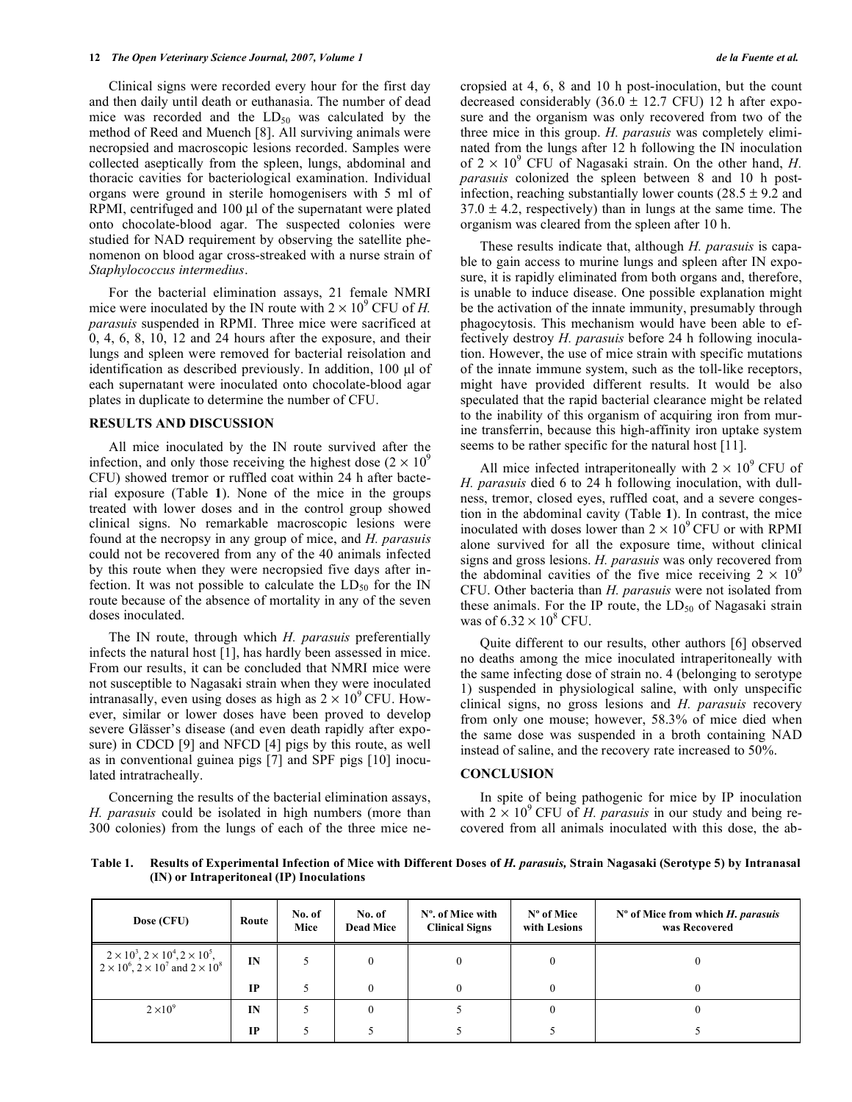Clinical signs were recorded every hour for the first day and then daily until death or euthanasia. The number of dead mice was recorded and the  $LD_{50}$  was calculated by the method of Reed and Muench [8]. All surviving animals were necropsied and macroscopic lesions recorded. Samples were collected aseptically from the spleen, lungs, abdominal and thoracic cavities for bacteriological examination. Individual organs were ground in sterile homogenisers with 5 ml of RPMI, centrifuged and 100 μl of the supernatant were plated onto chocolate-blood agar. The suspected colonies were studied for NAD requirement by observing the satellite phenomenon on blood agar cross-streaked with a nurse strain of *Staphylococcus intermedius*.

 For the bacterial elimination assays, 21 female NMRI mice were inoculated by the IN route with  $2 \times 10^9$  CFU of *H*. *parasuis* suspended in RPMI. Three mice were sacrificed at 0, 4, 6, 8, 10, 12 and 24 hours after the exposure, and their lungs and spleen were removed for bacterial reisolation and identification as described previously. In addition, 100 μl of each supernatant were inoculated onto chocolate-blood agar plates in duplicate to determine the number of CFU.

#### **RESULTS AND DISCUSSION**

 All mice inoculated by the IN route survived after the infection, and only those receiving the highest dose  $(2 \times 10^9)$ CFU) showed tremor or ruffled coat within 24 h after bacterial exposure (Table **1**). None of the mice in the groups treated with lower doses and in the control group showed clinical signs. No remarkable macroscopic lesions were found at the necropsy in any group of mice, and *H. parasuis* could not be recovered from any of the 40 animals infected by this route when they were necropsied five days after infection. It was not possible to calculate the  $LD_{50}$  for the IN route because of the absence of mortality in any of the seven doses inoculated.

 The IN route, through which *H. parasuis* preferentially infects the natural host [1], has hardly been assessed in mice. From our results, it can be concluded that NMRI mice were not susceptible to Nagasaki strain when they were inoculated intranasally, even using doses as high as  $2 \times 10^9$  CFU. However, similar or lower doses have been proved to develop severe Glässer's disease (and even death rapidly after exposure) in CDCD [9] and NFCD [4] pigs by this route, as well as in conventional guinea pigs [7] and SPF pigs [10] inoculated intratracheally.

 Concerning the results of the bacterial elimination assays, *H. parasuis* could be isolated in high numbers (more than 300 colonies) from the lungs of each of the three mice necropsied at 4, 6, 8 and 10 h post-inoculation, but the count decreased considerably  $(36.0 \pm 12.7 \text{ CFU})$  12 h after exposure and the organism was only recovered from two of the three mice in this group. *H. parasuis* was completely eliminated from the lungs after 12 h following the IN inoculation of  $2 \times 10^9$  CFU of Nagasaki strain. On the other hand, *H*. *parasuis* colonized the spleen between 8 and 10 h postinfection, reaching substantially lower counts  $(28.5 \pm 9.2 \text{ and}$  $37.0 \pm 4.2$ , respectively) than in lungs at the same time. The organism was cleared from the spleen after 10 h.

 These results indicate that, although *H. parasuis* is capable to gain access to murine lungs and spleen after IN exposure, it is rapidly eliminated from both organs and, therefore, is unable to induce disease. One possible explanation might be the activation of the innate immunity, presumably through phagocytosis. This mechanism would have been able to effectively destroy *H. parasuis* before 24 h following inoculation. However, the use of mice strain with specific mutations of the innate immune system, such as the toll-like receptors, might have provided different results. It would be also speculated that the rapid bacterial clearance might be related to the inability of this organism of acquiring iron from murine transferrin, because this high-affinity iron uptake system seems to be rather specific for the natural host [11].

All mice infected intraperitoneally with  $2 \times 10^9$  CFU of *H. parasuis* died 6 to 24 h following inoculation, with dullness, tremor, closed eyes, ruffled coat, and a severe congestion in the abdominal cavity (Table **1**). In contrast, the mice inoculated with doses lower than  $2 \times 10^9$  CFU or with RPMI alone survived for all the exposure time, without clinical signs and gross lesions. *H. parasuis* was only recovered from the abdominal cavities of the five mice receiving  $2 \times 10^9$ CFU. Other bacteria than *H. parasuis* were not isolated from these animals. For the IP route, the  $LD_{50}$  of Nagasaki strain was of  $6.32 \times 10^8$  CFU.

 Quite different to our results, other authors [6] observed no deaths among the mice inoculated intraperitoneally with the same infecting dose of strain no. 4 (belonging to serotype 1) suspended in physiological saline, with only unspecific clinical signs, no gross lesions and *H. parasuis* recovery from only one mouse; however, 58.3% of mice died when the same dose was suspended in a broth containing NAD instead of saline, and the recovery rate increased to 50%.

#### **CONCLUSION**

 In spite of being pathogenic for mice by IP inoculation with  $2 \times 10^9$  CFU of *H. parasuis* in our study and being recovered from all animals inoculated with this dose, the ab-

**Table 1. Results of Experimental Infection of Mice with Different Doses of** *H. parasuis,* **Strain Nagasaki (Serotype 5) by Intranasal (IN) or Intraperitoneal (IP) Inoculations** 

| Dose (CFU)                                                                                                     | Route     | No. of<br>Mice | No. of<br><b>Dead Mice</b> | N°. of Mice with<br><b>Clinical Signs</b> | $No$ of Mice<br>with Lesions | $No$ of Mice from which H. parasuis<br>was Recovered |
|----------------------------------------------------------------------------------------------------------------|-----------|----------------|----------------------------|-------------------------------------------|------------------------------|------------------------------------------------------|
| $2 \times 10^3$ , $2 \times 10^4$ , $2 \times 10^5$ ,<br>$2 \times 10^6$ , $2 \times 10^7$ and $2 \times 10^8$ | IN        |                |                            |                                           |                              |                                                      |
|                                                                                                                | <b>IP</b> |                |                            |                                           |                              |                                                      |
| $2\times10^9$                                                                                                  | IN        |                |                            |                                           |                              |                                                      |
|                                                                                                                | <b>IP</b> |                |                            |                                           |                              |                                                      |